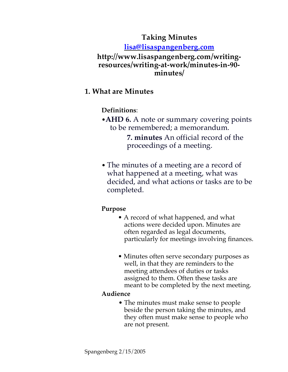# **Taking Minutes**

**lisa@lisaspangenberg.com**

## **http://www.lisaspangenberg.com/writingresources/writing-at-work/minutes-in-90 minutes/**

# **1. What are Minutes**

**Definitions**:

•**AHD 6.** A note or summary covering points to be remembered; a memorandum.

> **7. minutes** An official record of the proceedings of a meeting.

• The minutes of a meeting are a record of what happened at a meeting, what was decided, and what actions or tasks are to be completed.

# **Purpose**

- A record of what happened, and what actions were decided upon. Minutes are often regarded as legal documents, particularly for meetings involving finances.
- Minutes often serve secondary purposes as well, in that they are reminders to the meeting attendees of duties or tasks assigned to them. Often these tasks are meant to be completed by the next meeting.

## **Audience**

• The minutes must make sense to people beside the person taking the minutes, and they often must make sense to people who are not present.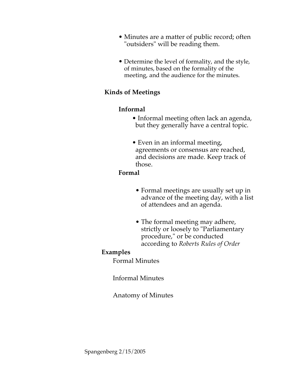- Minutes are a matter of public record; often "outsiders" will be reading them.
- Determine the level of formality, and the style, of minutes, based on the formality of the meeting, and the audience for the minutes.

## **Kinds of Meetings**

#### **Informal**

- Informal meeting often lack an agenda, but they generally have a central topic.
- Even in an informal meeting, agreements or consensus are reached, and decisions are made. Keep track of those.

#### **Formal**

- Formal meetings are usually set up in advance of the meeting day, with a list of attendees and an agenda.
- The formal meeting may adhere, strictly or loosely to "Parliamentary procedure," or be conducted according to *Roberts Rules of Order*

#### **Examples**

Formal Minutes

#### Informal Minutes

#### Anatomy of Minutes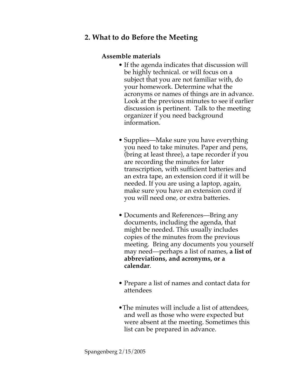## **2. What to do Before the Meeting**

#### **Assemble materials**

- If the agenda indicates that discussion will be highly technical. or will focus on a subject that you are not familiar with, do your homework. Determine what the acronyms or names of things are in advance. Look at the previous minutes to see if earlier discussion is pertinent. Talk to the meeting organizer if you need background information.
- Supplies—Make sure you have everything you need to take minutes. Paper and pens, (bring at least three), a tape recorder if you are recording the minutes for later transcription, with sufficient batteries and an extra tape, an extension cord if it will be needed. If you are using a laptop, again, make sure you have an extension cord if you will need one, or extra batteries.
- Documents and References—Bring any documents, including the agenda, that might be needed. This usually includes copies of the minutes from the previous meeting. Bring any documents you yourself may need—perhaps a list of names, **a list of abbreviations, and acronyms, or a calendar**.
- Prepare a list of names and contact data for attendees
- •The minutes will include a list of attendees, and well as those who were expected but were absent at the meeting. Sometimes this list can be prepared in advance.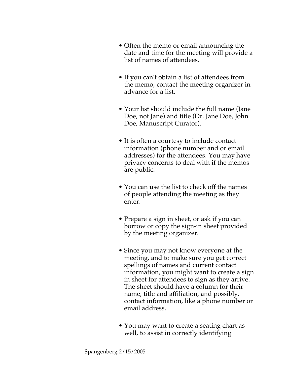- Often the memo or email announcing the date and time for the meeting will provide a list of names of attendees.
- If you can't obtain a list of attendees from the memo, contact the meeting organizer in advance for a list.
- Your list should include the full name (Jane Doe, not Jane) and title (Dr. Jane Doe, John Doe, Manuscript Curator).
- It is often a courtesy to include contact information (phone number and or email addresses) for the attendees. You may have privacy concerns to deal with if the memos are public.
- You can use the list to check off the names of people attending the meeting as they enter.
- Prepare a sign in sheet, or ask if you can borrow or copy the sign-in sheet provided by the meeting organizer.
- Since you may not know everyone at the meeting, and to make sure you get correct spellings of names and current contact information, you might want to create a sign in sheet for attendees to sign as they arrive. The sheet should have a column for their name, title and affiliation, and possibly, contact information, like a phone number or email address.
- You may want to create a seating chart as well, to assist in correctly identifying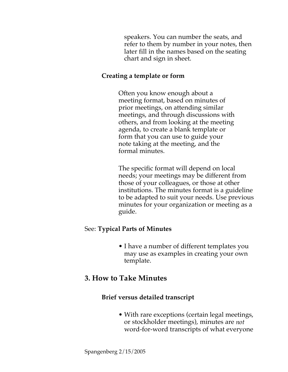speakers. You can number the seats, and refer to them by number in your notes, then later fill in the names based on the seating chart and sign in sheet.

#### **Creating a template or form**

Often you know enough about a meeting format, based on minutes of prior meetings, on attending similar meetings, and through discussions with others, and from looking at the meeting agenda, to create a blank template or form that you can use to guide your note taking at the meeting, and the formal minutes.

The specific format will depend on local needs; your meetings may be different from those of your colleagues, or those at other institutions. The minutes format is a guideline to be adapted to suit your needs. Use previous minutes for your organization or meeting as a guide.

## See: **Typical Parts of Minutes**

• I have a number of different templates you may use as examples in creating your own template.

# **3. How to Take Minutes**

## **Brief versus detailed transcript**

• With rare exceptions (certain legal meetings, or stockholder meetings), minutes are *not* word-for-word transcripts of what everyone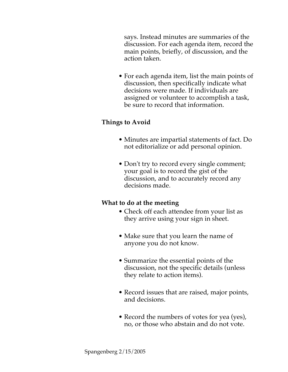says. Instead minutes are summaries of the discussion. For each agenda item, record the main points, briefly, of discussion, and the action taken.

• For each agenda item, list the main points of discussion, then specifically indicate what decisions were made. If individuals are assigned or volunteer to accomplish a task, be sure to record that information.

## **Things to Avoid**

- Minutes are impartial statements of fact. Do not editorialize or add personal opinion.
- Don't try to record every single comment; your goal is to record the gist of the discussion, and to accurately record any decisions made.

## **What to do at the meeting**

- Check off each attendee from your list as they arrive using your sign in sheet.
- Make sure that you learn the name of anyone you do not know.
- Summarize the essential points of the discussion, not the specific details (unless they relate to action items).
- Record issues that are raised, major points, and decisions.
- Record the numbers of votes for yea (yes), no, or those who abstain and do not vote.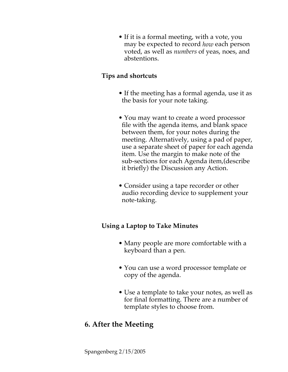• If it is a formal meeting, with a vote, you may be expected to record *how* each person voted, as well as *numbers* of yeas, noes, and abstentions.

## **Tips and shortcuts**

- If the meeting has a formal agenda, use it as the basis for your note taking.
- You may want to create a word processor file with the agenda items, and blank space between them, for your notes during the meeting. Alternatively, using a pad of paper, use a separate sheet of paper for each agenda item. Use the margin to make note of the sub-sections for each Agenda item,(describe it briefly) the Discussion any Action.
- Consider using a tape recorder or other audio recording device to supplement your note-taking.

## **Using a Laptop to Take Minutes**

- Many people are more comfortable with a keyboard than a pen.
- You can use a word processor template or copy of the agenda.
- Use a template to take your notes, as well as for final formatting. There are a number of template styles to choose from.

# **6. After the Meeting**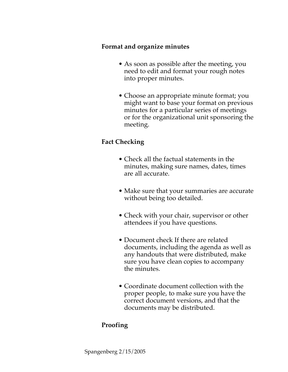#### **Format and organize minutes**

- As soon as possible after the meeting, you need to edit and format your rough notes into proper minutes.
- Choose an appropriate minute format; you might want to base your format on previous minutes for a particular series of meetings or for the organizational unit sponsoring the meeting.

## **Fact Checking**

- Check all the factual statements in the minutes, making sure names, dates, times are all accurate.
- Make sure that your summaries are accurate without being too detailed.
- Check with your chair, supervisor or other attendees if you have questions.
- Document check If there are related documents, including the agenda as well as any handouts that were distributed, make sure you have clean copies to accompany the minutes.
- Coordinate document collection with the proper people, to make sure you have the correct document versions, and that the documents may be distributed.

# **Proofing**